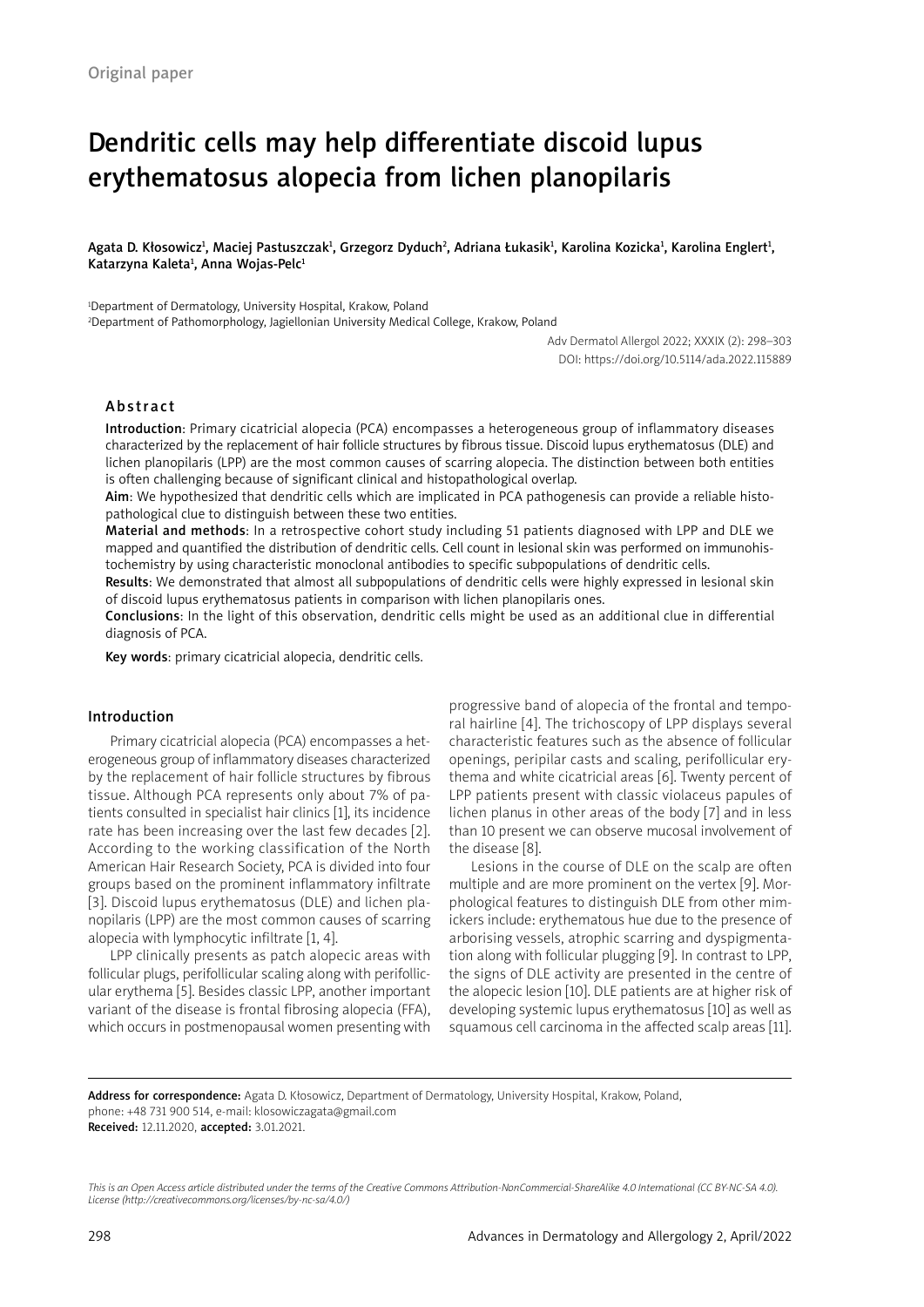# Dendritic cells may help differentiate discoid lupus erythematosus alopecia from lichen planopilaris

Agata D. Kłosowicz<sup>ı</sup>, Maciej Pastuszczak<sup>ı</sup>, Grzegorz Dyduch<sup>2</sup>, Adriana Łukasik<sup>ı</sup>, Karolina Kozicka<sup>ı</sup>, Karolina Englert<sup>ı</sup>, Katarzyna Kaleta<sup>ı</sup>, Anna Wojas-Pelc<sup>ı</sup>

1 Department of Dermatology, University Hospital, Krakow, Poland

2 Department of Pathomorphology, Jagiellonian University Medical College, Krakow, Poland

Adv Dermatol Allergol 2022; XXXIX (2): 298–303 DOI: https://doi.org/10.5114/ada.2022.115889

# Abstract

Introduction: Primary cicatricial alopecia (PCA) encompasses a heterogeneous group of inflammatory diseases characterized by the replacement of hair follicle structures by fibrous tissue. Discoid lupus erythematosus (DLE) and lichen planopilaris (LPP) are the most common causes of scarring alopecia. The distinction between both entities is often challenging because of significant clinical and histopathological overlap.

Aim: We hypothesized that dendritic cells which are implicated in PCA pathogenesis can provide a reliable histopathological clue to distinguish between these two entities.

Material and methods: In a retrospective cohort study including 51 patients diagnosed with LPP and DLE we mapped and quantified the distribution of dendritic cells. Cell count in lesional skin was performed on immunohistochemistry by using characteristic monoclonal antibodies to specific subpopulations of dendritic cells.

Results: We demonstrated that almost all subpopulations of dendritic cells were highly expressed in lesional skin of discoid lupus erythematosus patients in comparison with lichen planopilaris ones.

Conclusions: In the light of this observation, dendritic cells might be used as an additional clue in differential diagnosis of PCA.

Key words: primary cicatricial alopecia, dendritic cells.

## Introduction

Primary cicatricial alopecia (PCA) encompasses a heterogeneous group of inflammatory diseases characterized by the replacement of hair follicle structures by fibrous tissue. Although PCA represents only about 7% of patients consulted in specialist hair clinics [1], its incidence rate has been increasing over the last few decades [2]. According to the working classification of the North American Hair Research Society, PCA is divided into four groups based on the prominent inflammatory infiltrate [3]. Discoid lupus erythematosus (DLE) and lichen planopilaris (LPP) are the most common causes of scarring alopecia with lymphocytic infiltrate [1, 4].

LPP clinically presents as patch alopecic areas with follicular plugs, perifollicular scaling along with perifollicular erythema [5]. Besides classic LPP, another important variant of the disease is frontal fibrosing alopecia (FFA), which occurs in postmenopausal women presenting with progressive band of alopecia of the frontal and temporal hairline [4]. The trichoscopy of LPP displays several characteristic features such as the absence of follicular openings, peripilar casts and scaling, perifollicular erythema and white cicatricial areas [6]. Twenty percent of LPP patients present with classic violaceus papules of lichen planus in other areas of the body [7] and in less than 10 present we can observe mucosal involvement of the disease [8].

Lesions in the course of DLE on the scalp are often multiple and are more prominent on the vertex [9]. Morphological features to distinguish DLE from other mimickers include: erythematous hue due to the presence of arborising vessels, atrophic scarring and dyspigmentation along with follicular plugging [9]. In contrast to LPP, the signs of DLE activity are presented in the centre of the alopecic lesion [10]. DLE patients are at higher risk of developing systemic lupus erythematosus [10] as well as squamous cell carcinoma in the affected scalp areas [11].

Address for correspondence: Agata D. Kłosowicz, Department of Dermatology, University Hospital, Krakow, Poland, phone: +48 731 900 514, e-mail: klosowiczagata@gmail.com Received: 12.11.2020, accepted: 3.01.2021.

*This is an Open Access article distributed under the terms of the Creative Commons Attribution-NonCommercial-ShareAlike 4.0 International (CC BY-NC-SA 4.0). License (http://creativecommons.org/licenses/by-nc-sa/4.0/)*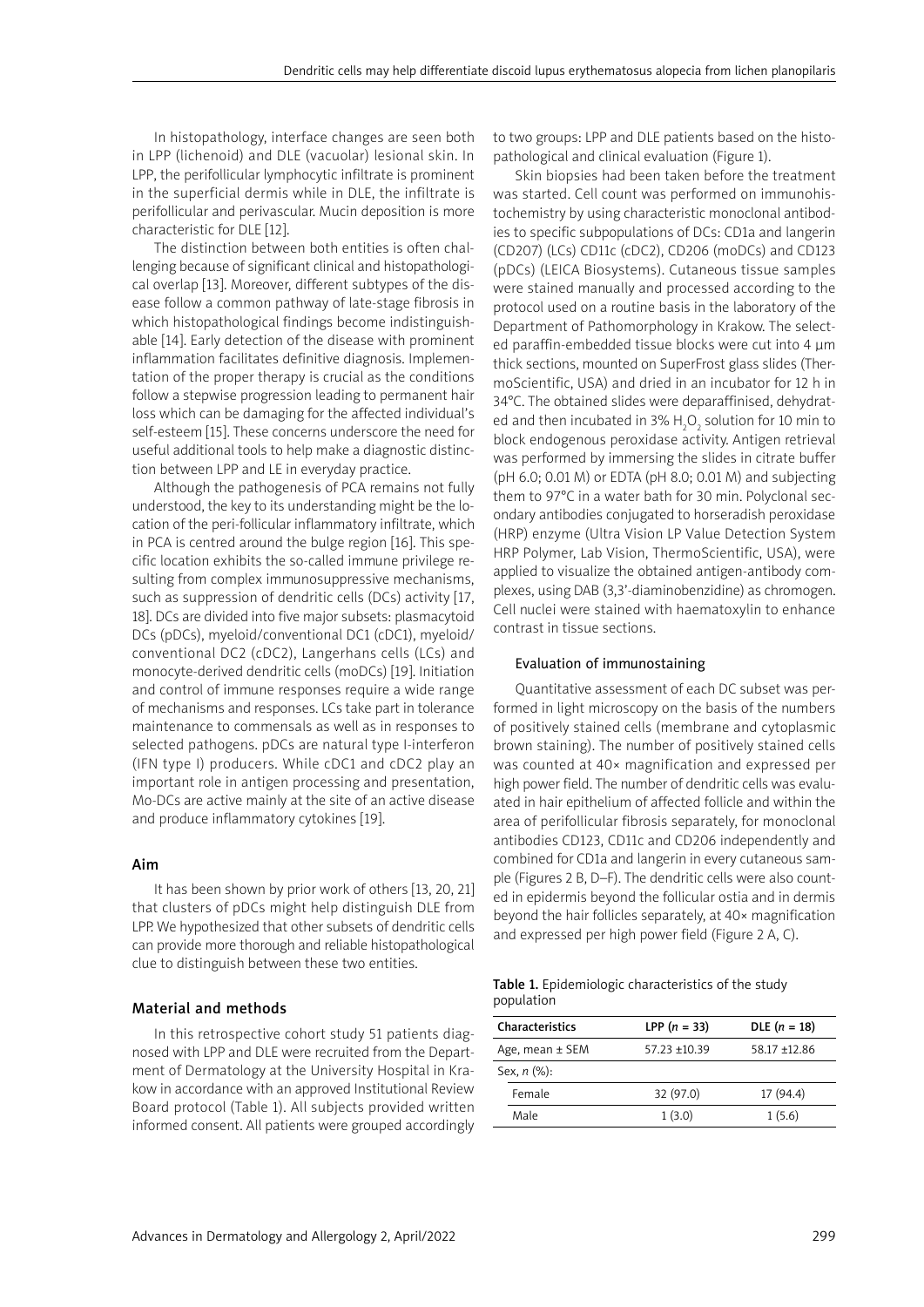In histopathology, interface changes are seen both in LPP (lichenoid) and DLE (vacuolar) lesional skin. In LPP, the perifollicular lymphocytic infiltrate is prominent in the superficial dermis while in DLE, the infiltrate is perifollicular and perivascular. Mucin deposition is more characteristic for DLE [12].

The distinction between both entities is often challenging because of significant clinical and histopathological overlap [13]. Moreover, different subtypes of the disease follow a common pathway of late-stage fibrosis in which histopathological findings become indistinguishable [14]. Early detection of the disease with prominent inflammation facilitates definitive diagnosis. Implementation of the proper therapy is crucial as the conditions follow a stepwise progression leading to permanent hair loss which can be damaging for the affected individual's self-esteem [15]. These concerns underscore the need for useful additional tools to help make a diagnostic distinction between LPP and LE in everyday practice.

Although the pathogenesis of PCA remains not fully understood, the key to its understanding might be the location of the peri-follicular inflammatory infiltrate, which in PCA is centred around the bulge region [16]. This specific location exhibits the so-called immune privilege resulting from complex immunosuppressive mechanisms, such as suppression of dendritic cells (DCs) activity [17, 18]. DCs are divided into five major subsets: plasmacytoid DCs (pDCs), myeloid/conventional DC1 (cDC1), myeloid/ conventional DC2 (cDC2), Langerhans cells (LCs) and monocyte-derived dendritic cells (moDCs) [19]. Initiation and control of immune responses require a wide range of mechanisms and responses. LCs take part in tolerance maintenance to commensals as well as in responses to selected pathogens. pDCs are natural type I-interferon (IFN type I) producers. While cDC1 and cDC2 play an important role in antigen processing and presentation, Mo-DCs are active mainly at the site of an active disease and produce inflammatory cytokines [19].

# Aim

It has been shown by prior work of others [13, 20, 21] that clusters of pDCs might help distinguish DLE from LPP. We hypothesized that other subsets of dendritic cells can provide more thorough and reliable histopathological clue to distinguish between these two entities.

#### Material and methods

In this retrospective cohort study 51 patients diagnosed with LPP and DLE were recruited from the Department of Dermatology at the University Hospital in Krakow in accordance with an approved Institutional Review Board protocol (Table 1). All subjects provided written informed consent. All patients were grouped accordingly to two groups: LPP and DLE patients based on the histopathological and clinical evaluation (Figure 1).

Skin biopsies had been taken before the treatment was started. Cell count was performed on immunohistochemistry by using characteristic monoclonal antibodies to specific subpopulations of DCs: CD1a and langerin (CD207) (LCs) CD11c (cDC2), CD206 (moDCs) and CD123 (pDCs) (LEICA Biosystems). Cutaneous tissue samples were stained manually and processed according to the protocol used on a routine basis in the laboratory of the Department of Pathomorphology in Krakow. The selected paraffin-embedded tissue blocks were cut into 4 μm thick sections, mounted on SuperFrost glass slides (ThermoScientific, USA) and dried in an incubator for 12 h in 34°C. The obtained slides were deparaffinised, dehydrated and then incubated in 3%  $H_2O_2$  solution for 10 min to block endogenous peroxidase activity. Antigen retrieval was performed by immersing the slides in citrate buffer (pH 6.0; 0.01 M) or EDTA (pH 8.0; 0.01 M) and subjecting them to 97°C in a water bath for 30 min. Polyclonal secondary antibodies conjugated to horseradish peroxidase (HRP) enzyme (Ultra Vision LP Value Detection System HRP Polymer, Lab Vision, ThermoScientific, USA), were applied to visualize the obtained antigen-antibody complexes, using DAB (3,3'-diaminobenzidine) as chromogen. Cell nuclei were stained with haematoxylin to enhance contrast in tissue sections.

#### Evaluation of immunostaining

Quantitative assessment of each DC subset was performed in light microscopy on the basis of the numbers of positively stained cells (membrane and cytoplasmic brown staining). The number of positively stained cells was counted at 40× magnification and expressed per high power field. The number of dendritic cells was evaluated in hair epithelium of affected follicle and within the area of perifollicular fibrosis separately, for monoclonal antibodies CD123, CD11c and CD206 independently and combined for CD1a and langerin in every cutaneous sample (Figures 2 B, D–F). The dendritic cells were also counted in epidermis beyond the follicular ostia and in dermis beyond the hair follicles separately, at 40× magnification and expressed per high power field (Figure 2 A, C).

|            | Table 1. Epidemiologic characteristics of the study |  |
|------------|-----------------------------------------------------|--|
| population |                                                     |  |

| Characteristics     | LPP $(n = 33)$  | DLE $(n = 18)$ |
|---------------------|-----------------|----------------|
| Age, mean $\pm$ SEM | $57.23 + 10.39$ | 58.17 ±12.86   |
| Sex, $n$ $%$ :      |                 |                |
| Female              | 32 (97.0)       | 17 (94.4)      |
| Male                | 1(3.0)          | 1(5.6)         |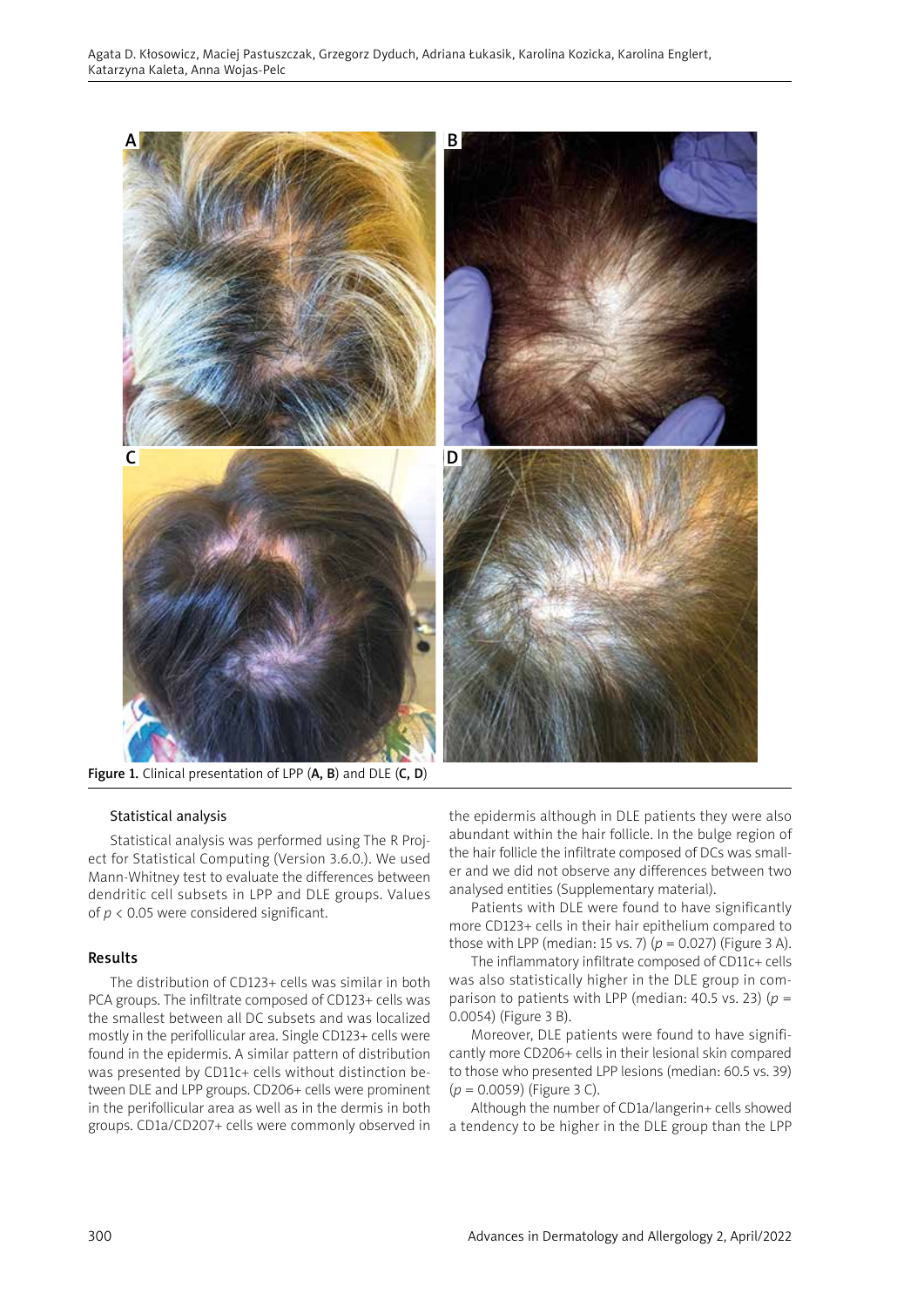

Figure 1. Clinical presentation of LPP (A, B) and DLE (C, D)

# Statistical analysis

Statistical analysis was performed using The R Project for Statistical Computing (Version 3.6.0.). We used Mann-Whitney test to evaluate the differences between dendritic cell subsets in LPP and DLE groups. Values of *p* < 0.05 were considered significant.

# Results

The distribution of CD123+ cells was similar in both PCA groups. The infiltrate composed of CD123+ cells was the smallest between all DC subsets and was localized mostly in the perifollicular area. Single CD123+ cells were found in the epidermis. A similar pattern of distribution was presented by CD11c+ cells without distinction between DLE and LPP groups. CD206+ cells were prominent in the perifollicular area as well as in the dermis in both groups. CD1a/CD207+ cells were commonly observed in the epidermis although in DLE patients they were also abundant within the hair follicle. In the bulge region of the hair follicle the infiltrate composed of DCs was smaller and we did not observe any differences between two analysed entities (Supplementary material).

Patients with DLE were found to have significantly more CD123+ cells in their hair epithelium compared to those with LPP (median: 15 vs. 7)  $(p = 0.027)$  (Figure 3 A).

The inflammatory infiltrate composed of CD11c+ cells was also statistically higher in the DLE group in comparison to patients with LPP (median: 40.5 vs. 23) ( $p =$ 0.0054) (Figure 3 B).

Moreover, DLE patients were found to have significantly more CD206+ cells in their lesional skin compared to those who presented LPP lesions (median: 60.5 vs. 39) (*p* = 0.0059) (Figure 3 C).

Although the number of CD1a/langerin+ cells showed a tendency to be higher in the DLE group than the LPP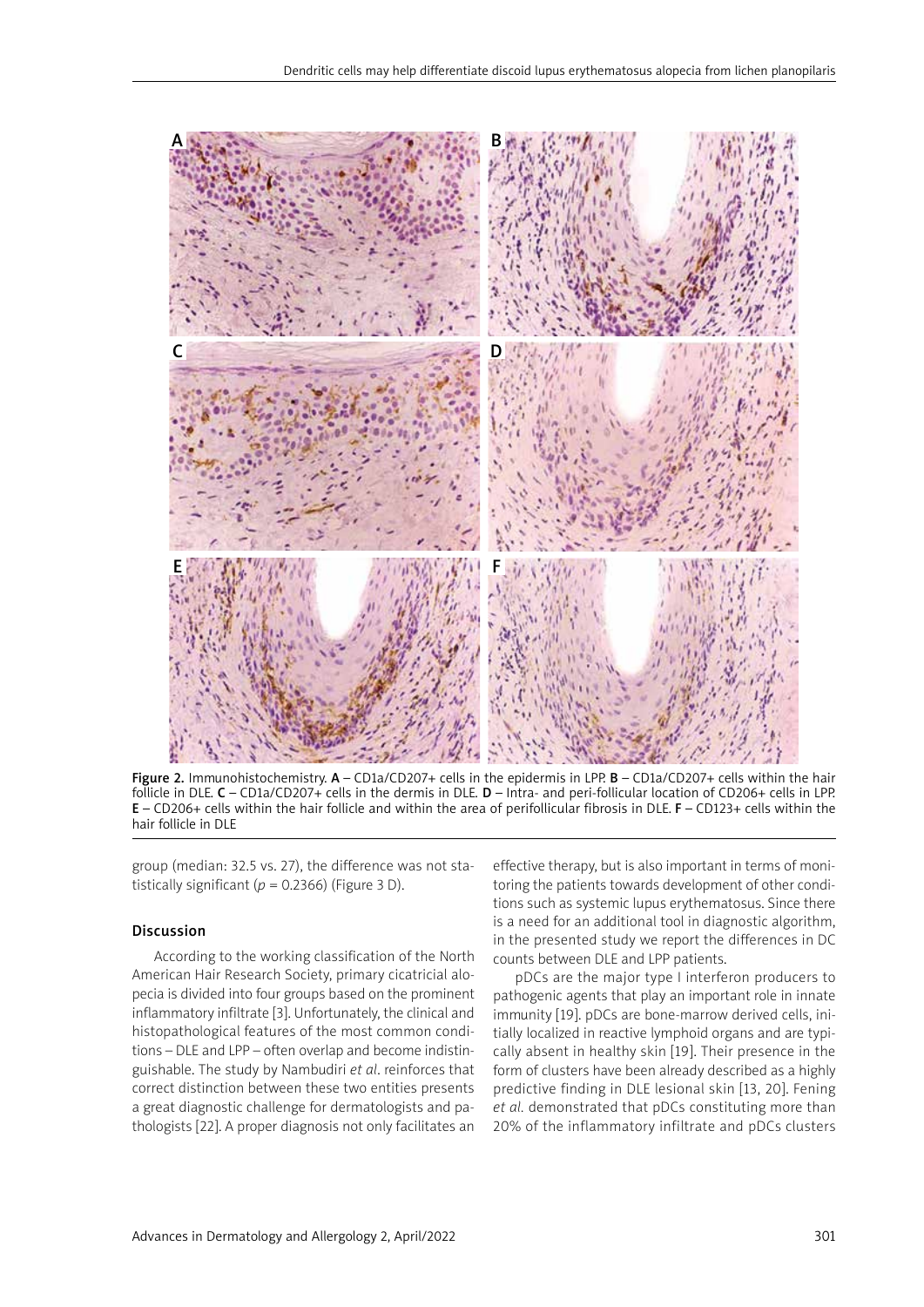

Figure 2. Immunohistochemistry. A - CD1a/CD207+ cells in the epidermis in LPP. B - CD1a/CD207+ cells within the hair follicle in DLE. C – CD1a/CD207+ cells in the dermis in DLE. D – Intra- and peri-follicular location of CD206+ cells in LPP. E – CD206+ cells within the hair follicle and within the area of perifollicular fibrosis in DLE. F – CD123+ cells within the hair follicle in DLE

group (median: 32.5 vs. 27), the difference was not statistically significant ( $p = 0.2366$ ) (Figure 3 D).

#### Discussion

According to the working classification of the North American Hair Research Society, primary cicatricial alopecia is divided into four groups based on the prominent inflammatory infiltrate [3]. Unfortunately, the clinical and histopathological features of the most common conditions – DLE and LPP – often overlap and become indistinguishable. The study by Nambudiri *et al*. reinforces that correct distinction between these two entities presents a great diagnostic challenge for dermatologists and pathologists [22]. A proper diagnosis not only facilitates an

effective therapy, but is also important in terms of monitoring the patients towards development of other conditions such as systemic lupus erythematosus. Since there is a need for an additional tool in diagnostic algorithm, in the presented study we report the differences in DC counts between DLE and LPP patients.

pDCs are the major type I interferon producers to pathogenic agents that play an important role in innate immunity [19]. pDCs are bone-marrow derived cells, initially localized in reactive lymphoid organs and are typically absent in healthy skin [19]. Their presence in the form of clusters have been already described as a highly predictive finding in DLE lesional skin [13, 20]. Fening *et al.* demonstrated that pDCs constituting more than 20% of the inflammatory infiltrate and pDCs clusters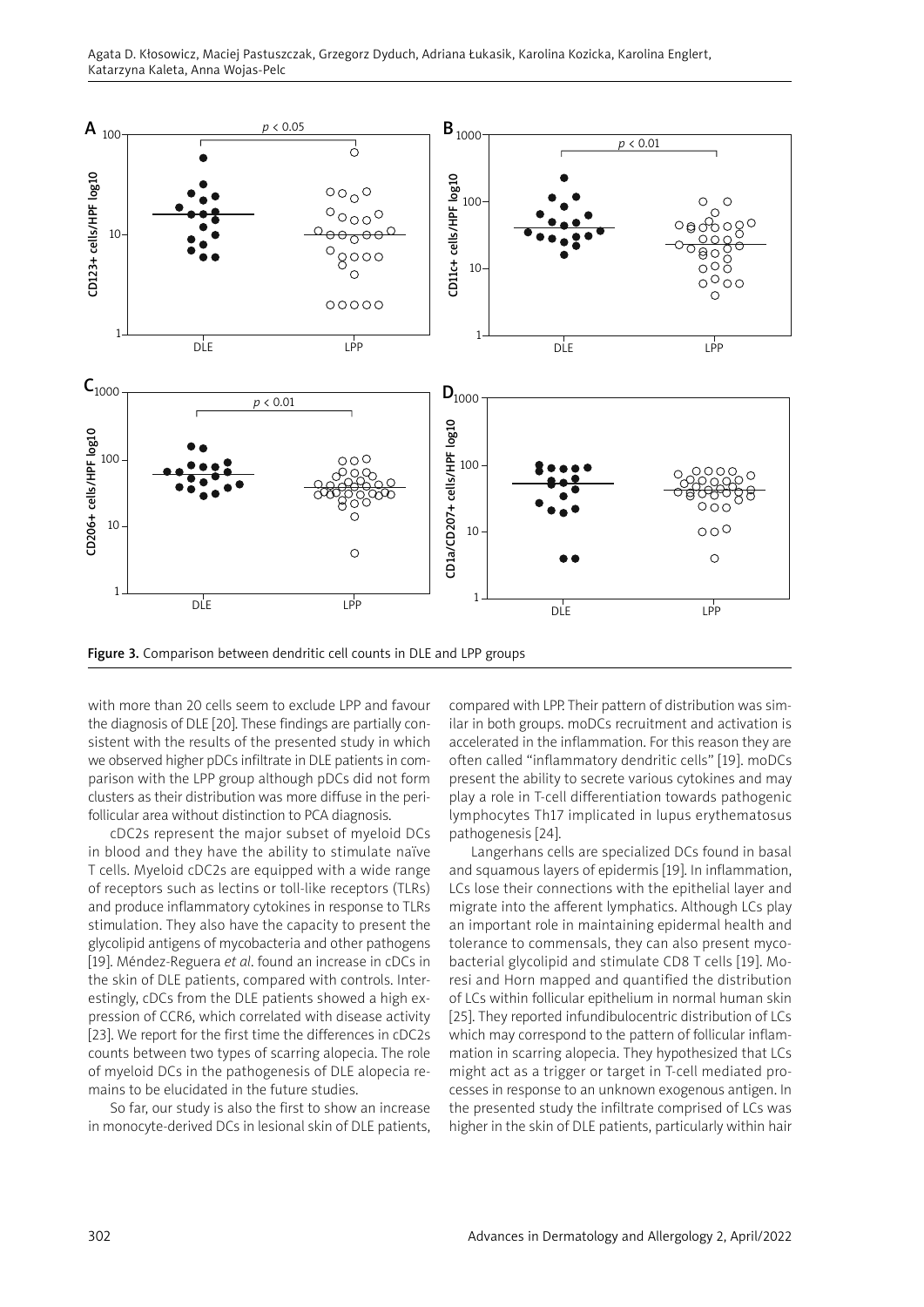

Figure 3. Comparison between dendritic cell counts in DLE and LPP groups

with more than 20 cells seem to exclude LPP and favour the diagnosis of DLE [20]. These findings are partially consistent with the results of the presented study in which we observed higher pDCs infiltrate in DLE patients in comparison with the LPP group although pDCs did not form clusters as their distribution was more diffuse in the perifollicular area without distinction to PCA diagnosis.

cDC2s represent the major subset of myeloid DCs in blood and they have the ability to stimulate naïve T cells. Myeloid cDC2s are equipped with a wide range of receptors such as lectins or toll-like receptors (TLRs) and produce inflammatory cytokines in response to TLRs stimulation. They also have the capacity to present the glycolipid antigens of mycobacteria and other pathogens [19]. Méndez-Reguera *et al*. found an increase in cDCs in the skin of DLE patients, compared with controls. Interestingly, cDCs from the DLE patients showed a high expression of CCR6, which correlated with disease activity [23]. We report for the first time the differences in cDC2s counts between two types of scarring alopecia. The role of myeloid DCs in the pathogenesis of DLE alopecia remains to be elucidated in the future studies.

So far, our study is also the first to show an increase in monocyte-derived DCs in lesional skin of DLE patients, compared with LPP. Their pattern of distribution was similar in both groups. moDCs recruitment and activation is accelerated in the inflammation. For this reason they are often called "inflammatory dendritic cells" [19]. moDCs present the ability to secrete various cytokines and may play a role in T-cell differentiation towards pathogenic lymphocytes Th17 implicated in lupus erythematosus pathogenesis [24].

Langerhans cells are specialized DCs found in basal and squamous layers of epidermis [19]. In inflammation, LCs lose their connections with the epithelial layer and migrate into the afferent lymphatics. Although LCs play an important role in maintaining epidermal health and tolerance to commensals, they can also present mycobacterial glycolipid and stimulate CD8 T cells [19]. Moresi and Horn mapped and quantified the distribution of LCs within follicular epithelium in normal human skin [25]. They reported infundibulocentric distribution of LCs which may correspond to the pattern of follicular inflammation in scarring alopecia. They hypothesized that LCs might act as a trigger or target in T-cell mediated processes in response to an unknown exogenous antigen. In the presented study the infiltrate comprised of LCs was higher in the skin of DLE patients, particularly within hair